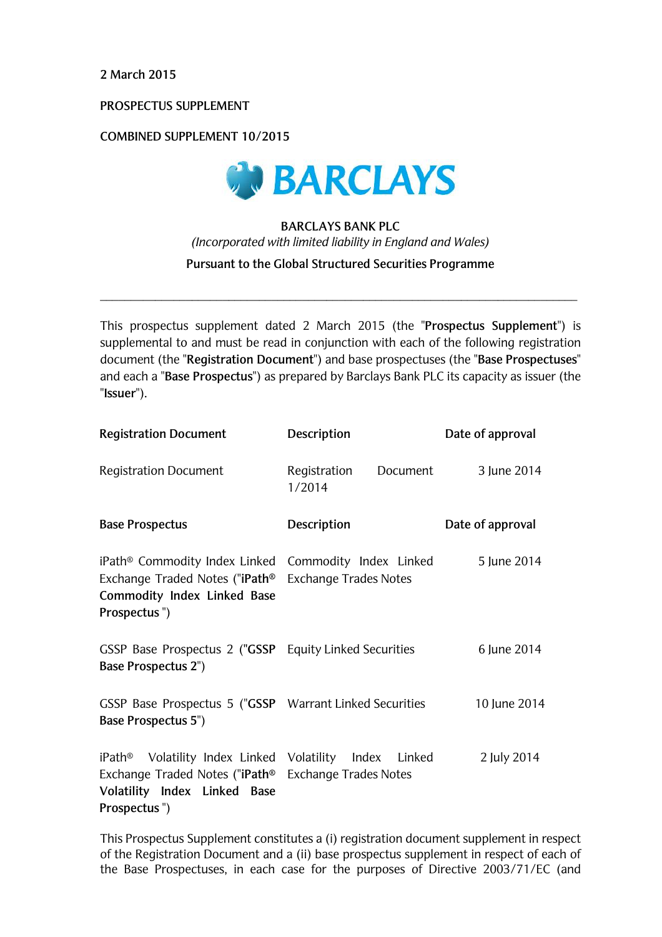2 March 2015

PROSPECTUS SUPPLEMENT

**COMBINED SUPPLEMENT 10/2015** 



# **BARCLAYS BANK PLC** (Incorporated with limited liability in England and Wales) Pursuant to the Global Structured Securities Programme

This prospectus supplement dated 2 March 2015 (the "Prospectus Supplement") is supplemental to and must be read in conjunction with each of the following registration document (the "Registration Document") and base prospectuses (the "Base Prospectuses" and each a "Base Prospectus") as prepared by Barclays Bank PLC its capacity as issuer (the "Issuer").

| <b>Registration Document</b>                                                                                                                                               | Description                        | Date of approval |
|----------------------------------------------------------------------------------------------------------------------------------------------------------------------------|------------------------------------|------------------|
| <b>Registration Document</b>                                                                                                                                               | Registration<br>Document<br>1/2014 | 3 June 2014      |
| <b>Base Prospectus</b>                                                                                                                                                     | Description                        | Date of approval |
| iPath <sup>®</sup> Commodity Index Linked Commodity Index Linked<br>Exchange Traded Notes ("iPath®<br><b>Commodity Index Linked Base</b><br>Prospectus")                   | <b>Exchange Trades Notes</b>       | 5 June 2014      |
| GSSP Base Prospectus 2 ("GSSP Equity Linked Securities<br><b>Base Prospectus 2")</b>                                                                                       |                                    | 6 June 2014      |
| GSSP Base Prospectus 5 ("GSSP Warrant Linked Securities<br><b>Base Prospectus 5")</b>                                                                                      |                                    | 10 June 2014     |
| iPath <sup>®</sup> Volatility Index Linked Volatility Index Linked<br>Exchange Traded Notes ("iPath® Exchange Trades Notes<br>Volatility Index Linked Base<br>Prospectus") |                                    | 2 July 2014      |

This Prospectus Supplement constitutes a (i) registration document supplement in respect of the Registration Document and a (ii) base prospectus supplement in respect of each of the Base Prospectuses, in each case for the purposes of Directive 2003/71/EC (and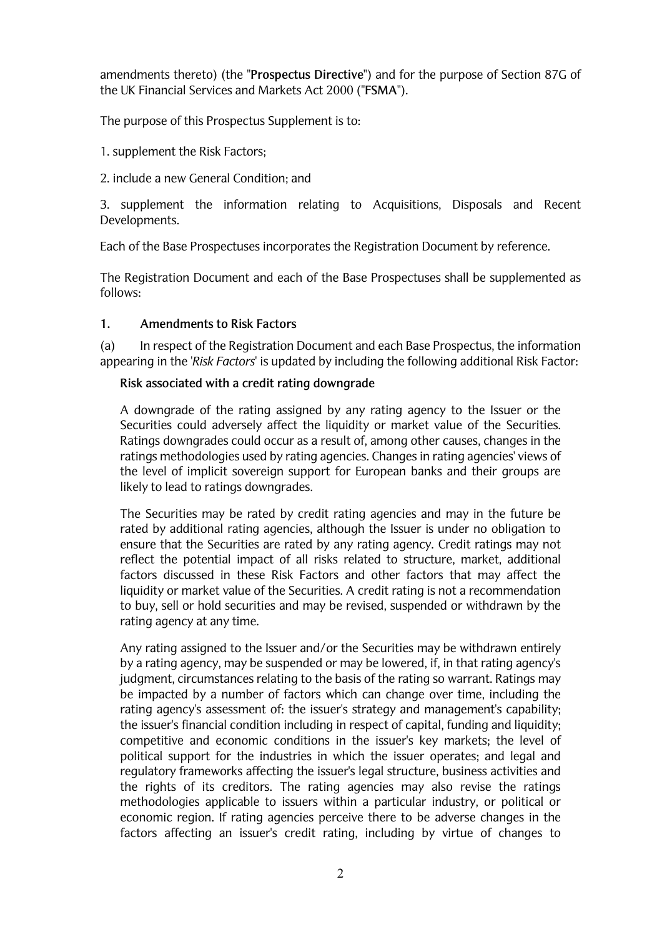amendments thereto) (the "Prospectus Directive") and for the purpose of Section 87G of the UK Financial Services and Markets Act 2000 ("FSMA").

The purpose of this Prospectus Supplement is to:

1. supplement the Risk Factors;

2. include a new General Condition: and

3. supplement the information relating to Acquisitions. Disposals and Recent Developments.

Each of the Base Prospectuses incorporates the Registration Document by reference.

The Registration Document and each of the Base Prospectuses shall be supplemented as follows:

#### $1.$ **Amendments to Risk Factors**

 $(a)$ In respect of the Registration Document and each Base Prospectus, the information appearing in the 'Risk Factors' is updated by including the following additional Risk Factor:

## Risk associated with a credit rating downgrade

A downgrade of the rating assigned by any rating agency to the Issuer or the Securities could adversely affect the liquidity or market value of the Securities. Ratings downgrades could occur as a result of, among other causes, changes in the ratings methodologies used by rating agencies. Changes in rating agencies' views of the level of implicit sovereign support for European banks and their groups are likely to lead to ratings downgrades.

The Securities may be rated by credit rating agencies and may in the future be rated by additional rating agencies, although the Issuer is under no obligation to ensure that the Securities are rated by any rating agency. Credit ratings may not reflect the potential impact of all risks related to structure, market, additional factors discussed in these Risk Factors and other factors that may affect the liquidity or market value of the Securities. A credit rating is not a recommendation to buy, sell or hold securities and may be revised, suspended or withdrawn by the rating agency at any time.

Any rating assigned to the Issuer and/or the Securities may be withdrawn entirely by a rating agency, may be suspended or may be lowered, if, in that rating agency's judgment, circumstances relating to the basis of the rating so warrant. Ratings may be impacted by a number of factors which can change over time, including the rating agency's assessment of: the issuer's strategy and management's capability; the issuer's financial condition including in respect of capital, funding and liquidity; competitive and economic conditions in the issuer's key markets; the level of political support for the industries in which the issuer operates; and legal and requlatory frameworks affecting the issuer's legal structure, business activities and the rights of its creditors. The rating agencies may also revise the ratings methodologies applicable to issuers within a particular industry, or political or economic region. If rating agencies perceive there to be adverse changes in the factors affecting an issuer's credit rating, including by virtue of changes to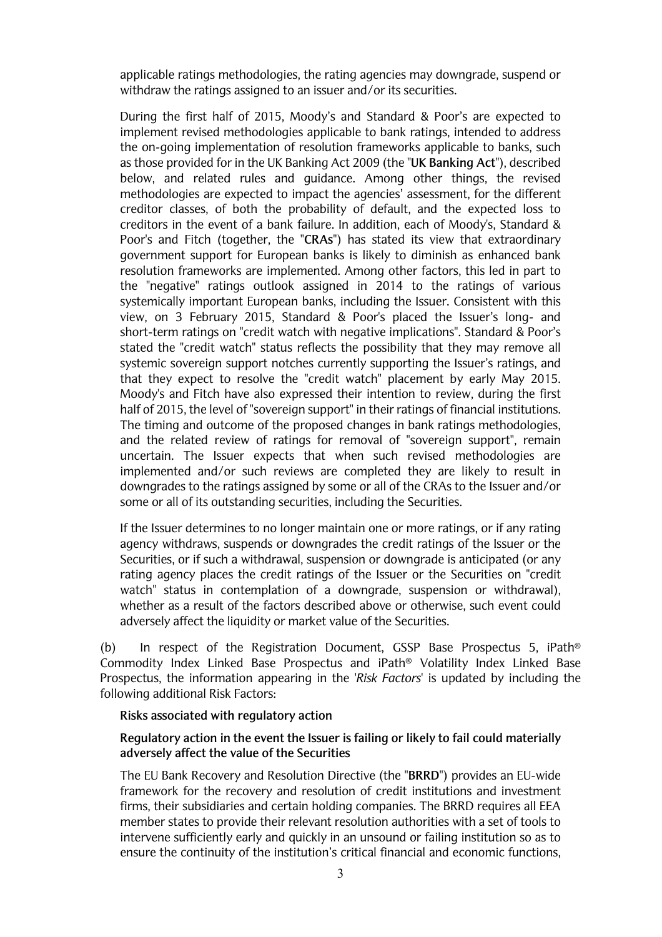applicable ratings methodologies, the rating agencies may downgrade, suspend or withdraw the ratings assigned to an issuer and/or its securities.

During the first half of 2015, Moody's and Standard & Poor's are expected to implement revised methodologies applicable to bank ratings, intended to address the on-going implementation of resolution frameworks applicable to banks, such as those provided for in the UK Banking Act 2009 (the "UK Banking Act"), described below, and related rules and quidance. Among other things, the revised methodologies are expected to impact the agencies' assessment, for the different creditor classes, of both the probability of default, and the expected loss to creditors in the event of a bank failure. In addition, each of Moody's, Standard & Poor's and Fitch (together, the "CRAs") has stated its view that extraordinary government support for European banks is likely to diminish as enhanced bank resolution frameworks are implemented. Among other factors, this led in part to the "negative" ratings outlook assigned in 2014 to the ratings of various systemically important European banks, including the Issuer. Consistent with this view, on 3 February 2015, Standard & Poor's placed the Issuer's long- and short-term ratings on "credit watch with negative implications". Standard & Poor's stated the "credit watch" status reflects the possibility that they may remove all systemic sovereign support notches currently supporting the Issuer's ratings, and that they expect to resolve the "credit watch" placement by early May 2015. Moody's and Fitch have also expressed their intention to review, during the first half of 2015, the level of "sovereign support" in their ratings of financial institutions. The timing and outcome of the proposed changes in bank ratings methodologies. and the related review of ratings for removal of "sovereign support", remain uncertain. The Issuer expects that when such revised methodologies are implemented and/or such reviews are completed they are likely to result in downgrades to the ratings assigned by some or all of the CRAs to the Issuer and/or some or all of its outstanding securities, including the Securities.

If the Issuer determines to no longer maintain one or more ratings, or if any rating agency withdraws, suspends or downgrades the credit ratings of the Issuer or the Securities, or if such a withdrawal, suspension or downgrade is anticipated (or any rating agency places the credit ratings of the Issuer or the Securities on "credit watch" status in contemplation of a downgrade, suspension or withdrawal), whether as a result of the factors described above or otherwise, such event could adversely affect the liquidity or market value of the Securities.

In respect of the Registration Document, GSSP Base Prospectus 5, iPath®  $(b)$ Commodity Index Linked Base Prospectus and iPath® Volatility Index Linked Base Prospectus, the information appearing in the 'Risk Factors' is updated by including the following additional Risk Factors:

#### Risks associated with regulatory action

## Regulatory action in the event the Issuer is failing or likely to fail could materially adversely affect the value of the Securities

The EU Bank Recovery and Resolution Directive (the "BRRD") provides an EU-wide framework for the recovery and resolution of credit institutions and investment firms, their subsidiaries and certain holding companies. The BRRD requires all EEA member states to provide their relevant resolution authorities with a set of tools to intervene sufficiently early and quickly in an unsound or failing institution so as to ensure the continuity of the institution's critical financial and economic functions,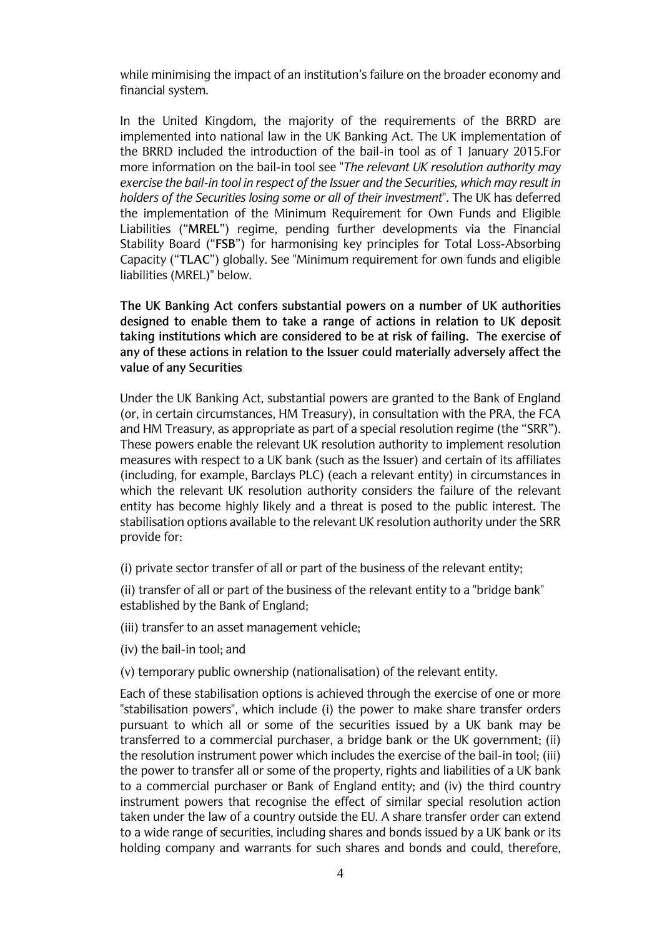while minimising the impact of an institution's failure on the broader economy and financial system.

In the United Kingdom, the majority of the requirements of the BRRD are implemented into national law in the UK Banking Act. The UK implementation of the BRRD included the introduction of the bail-in tool as of 1 January 2015.For more information on the bail-in tool see "The relevant UK resolution authority may exercise the bail-in tool in respect of the Issuer and the Securities, which may result in holders of the Securities losing some or all of their investment". The UK has deferred the implementation of the Minimum Requirement for Own Funds and Eligible Liabilities ("MREL") regime, pending further developments via the Financial Stability Board ("FSB") for harmonising key principles for Total Loss-Absorbing Capacity ("TLAC") globally. See "Minimum requirement for own funds and eligible liabilities (MREL)" below.

The UK Banking Act confers substantial powers on a number of UK authorities designed to enable them to take a range of actions in relation to UK deposit taking institutions which are considered to be at risk of failing. The exercise of any of these actions in relation to the Issuer could materially adversely affect the value of any Securities

Under the UK Banking Act, substantial powers are granted to the Bank of England (or, in certain circumstances, HM Treasury), in consultation with the PRA, the FCA and HM Treasury, as appropriate as part of a special resolution regime (the "SRR"). These powers enable the relevant UK resolution authority to implement resolution measures with respect to a UK bank (such as the Issuer) and certain of its affiliates (including, for example, Barclays PLC) (each a relevant entity) in circumstances in which the relevant UK resolution authority considers the failure of the relevant entity has become highly likely and a threat is posed to the public interest. The stabilisation options available to the relevant UK resolution authority under the SRR provide for:

(i) private sector transfer of all or part of the business of the relevant entity;

(ii) transfer of all or part of the business of the relevant entity to a "bridge bank" established by the Bank of England;

(iii) transfer to an asset management vehicle;

(iv) the bail-in tool; and

(v) temporary public ownership (nationalisation) of the relevant entity.

Each of these stabilisation options is achieved through the exercise of one or more "stabilisation powers", which include (i) the power to make share transfer orders pursuant to which all or some of the securities issued by a UK bank may be transferred to a commercial purchaser, a bridge bank or the UK government; (ii) the resolution instrument power which includes the exercise of the bail-in tool; (iii) the power to transfer all or some of the property, rights and liabilities of a UK bank to a commercial purchaser or Bank of England entity: and (iv) the third country instrument powers that recognise the effect of similar special resolution action taken under the law of a country outside the EU. A share transfer order can extend to a wide range of securities, including shares and bonds issued by a UK bank or its holding company and warrants for such shares and bonds and could, therefore,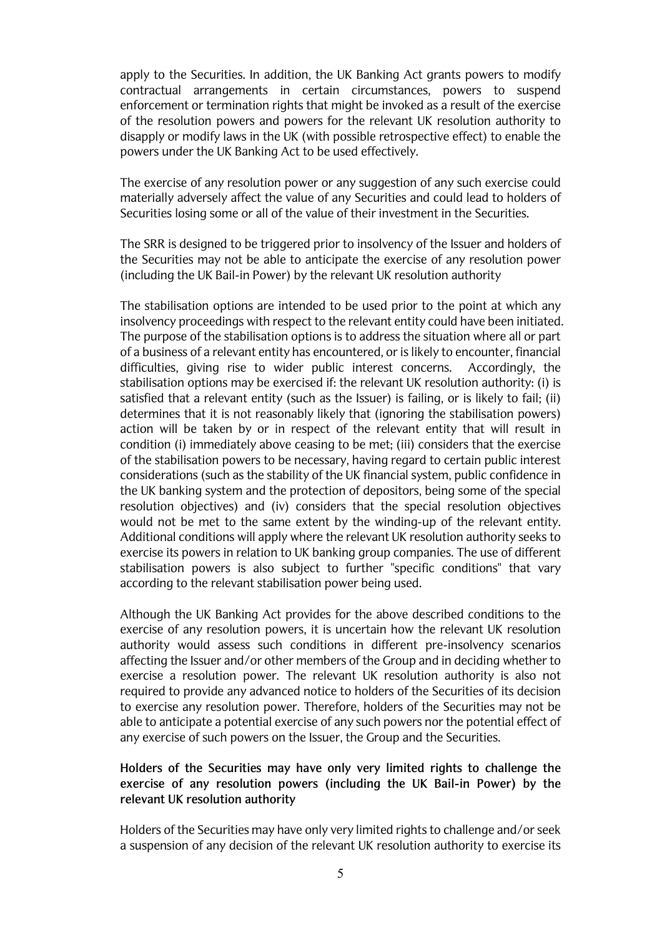apply to the Securities. In addition, the UK Banking Act grants powers to modify contractual arrangements in certain circumstances, powers to suspend enforcement or termination rights that might be invoked as a result of the exercise of the resolution powers and powers for the relevant UK resolution authority to disapply or modify laws in the UK (with possible retrospective effect) to enable the powers under the UK Banking Act to be used effectively.

The exercise of any resolution power or any suggestion of any such exercise could materially adversely affect the value of any Securities and could lead to holders of Securities losing some or all of the value of their investment in the Securities.

The SRR is designed to be triggered prior to insolvency of the Issuer and holders of the Securities may not be able to anticipate the exercise of any resolution power (including the UK Bail-in Power) by the relevant UK resolution authority

The stabilisation options are intended to be used prior to the point at which any insolvency proceedings with respect to the relevant entity could have been initiated. The purpose of the stabilisation options is to address the situation where all or part of a business of a relevant entity has encountered, or is likely to encounter, financial difficulties, giving rise to wider public interest concerns. Accordingly, the stabilisation options may be exercised if: the relevant UK resolution authority: (i) is satisfied that a relevant entity (such as the Issuer) is failing, or is likely to fail; (ii) determines that it is not reasonably likely that (ignoring the stabilisation powers) action will be taken by or in respect of the relevant entity that will result in condition (i) immediately above ceasing to be met; (iii) considers that the exercise of the stabilisation powers to be necessary, having regard to certain public interest considerations (such as the stability of the UK financial system, public confidence in the UK banking system and the protection of depositors, being some of the special resolution objectives) and (iv) considers that the special resolution objectives would not be met to the same extent by the winding-up of the relevant entity. Additional conditions will apply where the relevant UK resolution authority seeks to exercise its powers in relation to UK banking group companies. The use of different stabilisation powers is also subject to further "specific conditions" that vary according to the relevant stabilisation power being used.

Although the UK Banking Act provides for the above described conditions to the exercise of any resolution powers, it is uncertain how the relevant UK resolution authority would assess such conditions in different pre-insolvency scenarios affecting the Issuer and/or other members of the Group and in deciding whether to exercise a resolution power. The relevant UK resolution authority is also not required to provide any advanced notice to holders of the Securities of its decision to exercise any resolution power. Therefore, holders of the Securities may not be able to anticipate a potential exercise of any such powers nor the potential effect of any exercise of such powers on the Issuer, the Group and the Securities.

## Holders of the Securities may have only very limited rights to challenge the exercise of any resolution powers (including the UK Bail-in Power) by the relevant UK resolution authority

Holders of the Securities may have only very limited rights to challenge and/or seek a suspension of any decision of the relevant UK resolution authority to exercise its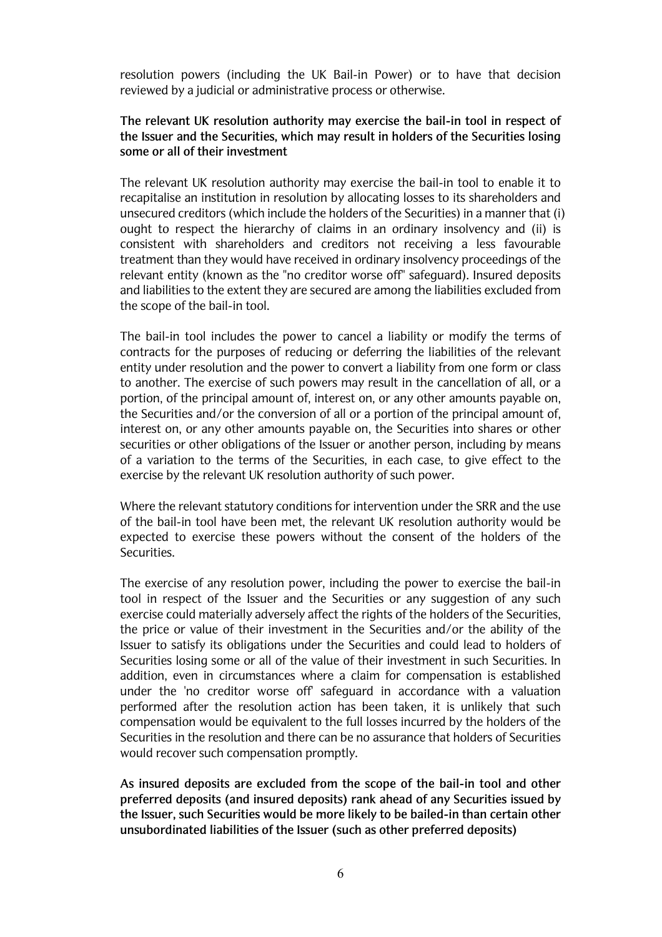resolution powers (including the UK Bail-in Power) or to have that decision reviewed by a judicial or administrative process or otherwise.

## The relevant UK resolution authority may exercise the bail-in tool in respect of the Issuer and the Securities, which may result in holders of the Securities losing some or all of their investment

The relevant UK resolution authority may exercise the bail-in tool to enable it to recapitalise an institution in resolution by allocating losses to its shareholders and unsecured creditors (which include the holders of the Securities) in a manner that (i) ought to respect the hierarchy of claims in an ordinary insolvency and (ii) is consistent with shareholders and creditors not receiving a less favourable treatment than they would have received in ordinary insolvency proceedings of the relevant entity (known as the "no creditor worse off" safeguard). Insured deposits and liabilities to the extent they are secured are among the liabilities excluded from the scope of the bail-in tool.

The bail-in tool includes the power to cancel a liability or modify the terms of contracts for the purposes of reducing or deferring the liabilities of the relevant entity under resolution and the power to convert a liability from one form or class to another. The exercise of such powers may result in the cancellation of all, or a portion, of the principal amount of, interest on, or any other amounts payable on, the Securities and/or the conversion of all or a portion of the principal amount of, interest on, or any other amounts payable on, the Securities into shares or other securities or other obligations of the Issuer or another person, including by means of a variation to the terms of the Securities, in each case, to give effect to the exercise by the relevant UK resolution authority of such power.

Where the relevant statutory conditions for intervention under the SRR and the use of the bail-in tool have been met, the relevant UK resolution authority would be expected to exercise these powers without the consent of the holders of the Securities.

The exercise of any resolution power, including the power to exercise the bail-in tool in respect of the Issuer and the Securities or any suggestion of any such exercise could materially adversely affect the rights of the holders of the Securities, the price or value of their investment in the Securities and/or the ability of the Issuer to satisfy its obligations under the Securities and could lead to holders of Securities losing some or all of the value of their investment in such Securities. In addition, even in circumstances where a claim for compensation is established under the 'no creditor worse off safeguard in accordance with a valuation performed after the resolution action has been taken, it is unlikely that such compensation would be equivalent to the full losses incurred by the holders of the Securities in the resolution and there can be no assurance that holders of Securities would recover such compensation promptly.

As insured deposits are excluded from the scope of the bail-in tool and other preferred deposits (and insured deposits) rank ahead of any Securities issued by the Issuer, such Securities would be more likely to be bailed-in than certain other unsubordinated liabilities of the Issuer (such as other preferred deposits)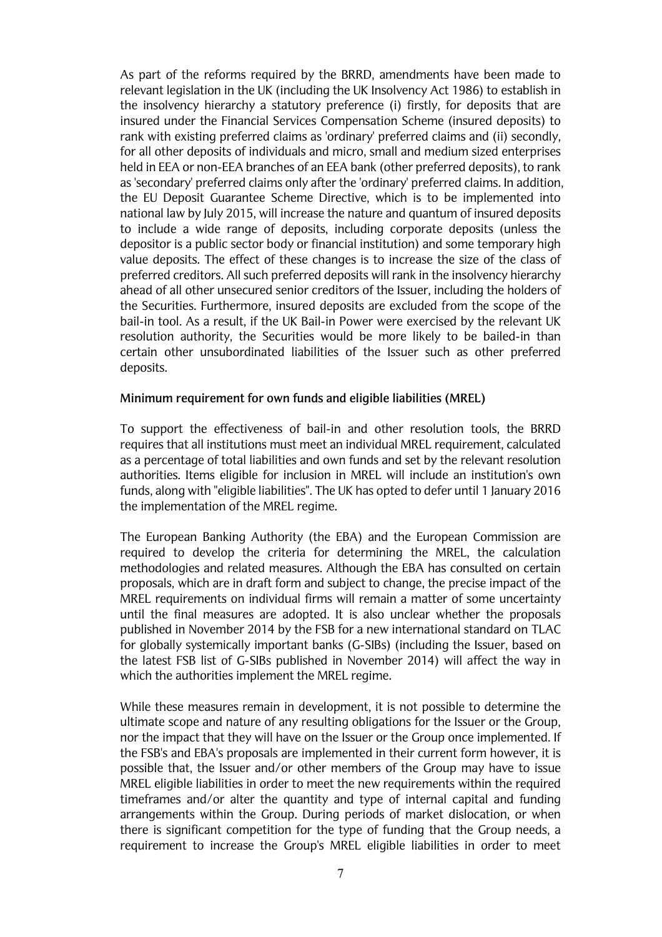As part of the reforms required by the BRRD, amendments have been made to relevant legislation in the UK (including the UK Insolvency Act 1986) to establish in the insolvency hierarchy a statutory preference (i) firstly, for deposits that are insured under the Financial Services Compensation Scheme (insured deposits) to rank with existing preferred claims as 'ordinary' preferred claims and (ii) secondly, for all other deposits of individuals and micro, small and medium sized enterprises held in EEA or non-EEA branches of an EEA bank (other preferred deposits), to rank as 'secondary' preferred claims only after the 'ordinary' preferred claims. In addition, the EU Deposit Guarantee Scheme Directive, which is to be implemented into national law by July 2015, will increase the nature and quantum of insured deposits to include a wide range of deposits, including corporate deposits (unless the depositor is a public sector body or financial institution) and some temporary high value deposits. The effect of these changes is to increase the size of the class of preferred creditors. All such preferred deposits will rank in the insolvency hierarchy ahead of all other unsecured senior creditors of the Issuer, including the holders of the Securities. Furthermore, insured deposits are excluded from the scope of the bail-in tool. As a result, if the UK Bail-in Power were exercised by the relevant UK resolution authority, the Securities would be more likely to be bailed-in than certain other unsubordinated liabilities of the Issuer such as other preferred deposits.

#### Minimum requirement for own funds and eligible liabilities (MREL)

To support the effectiveness of bail-in and other resolution tools, the BRRD requires that all institutions must meet an individual MREL requirement, calculated as a percentage of total liabilities and own funds and set by the relevant resolution authorities. Items eligible for inclusion in MREL will include an institution's own funds, along with "eligible liabilities". The UK has opted to defer until 1 January 2016 the implementation of the MREL regime.

The European Banking Authority (the EBA) and the European Commission are required to develop the criteria for determining the MREL, the calculation methodologies and related measures. Although the EBA has consulted on certain proposals, which are in draft form and subject to change, the precise impact of the MREL requirements on individual firms will remain a matter of some uncertainty until the final measures are adopted. It is also unclear whether the proposals published in November 2014 by the FSB for a new international standard on TLAC for globally systemically important banks (G-SIBs) (including the Issuer, based on the latest FSB list of G-SIBs published in November 2014) will affect the way in which the authorities implement the MREL regime.

While these measures remain in development, it is not possible to determine the ultimate scope and nature of any resulting obligations for the Issuer or the Group, nor the impact that they will have on the Issuer or the Group once implemented. If the FSB's and EBA's proposals are implemented in their current form however, it is possible that, the Issuer and/or other members of the Group may have to issue MREL eligible liabilities in order to meet the new requirements within the required timeframes and/or alter the quantity and type of internal capital and funding arrangements within the Group. During periods of market dislocation, or when there is significant competition for the type of funding that the Group needs, a requirement to increase the Group's MREL eligible liabilities in order to meet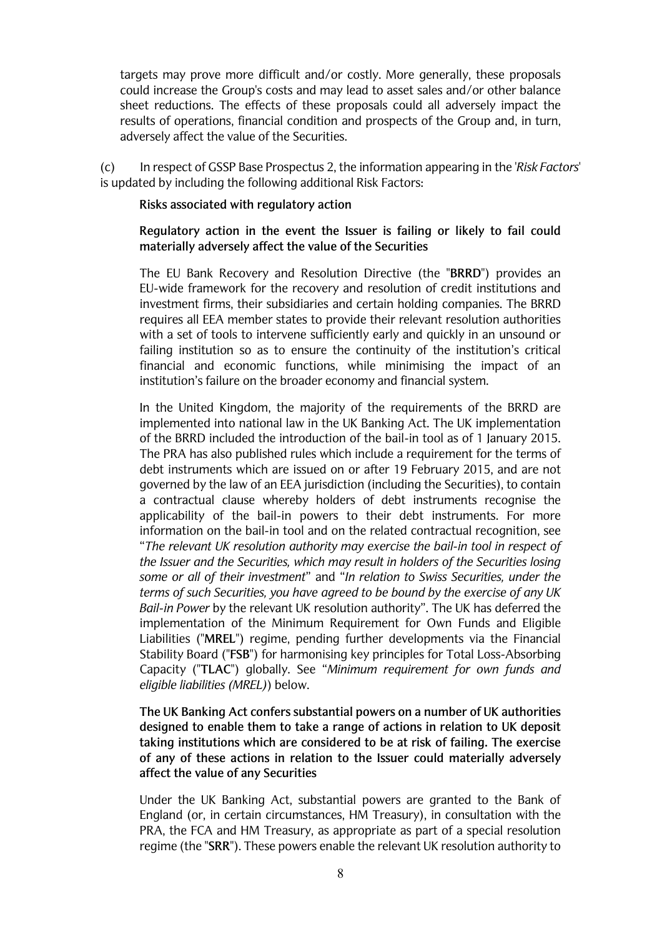targets may prove more difficult and/or costly. More generally, these proposals could increase the Group's costs and may lead to asset sales and/or other balance sheet reductions. The effects of these proposals could all adversely impact the results of operations, financial condition and prospects of the Group and, in turn, adversely affect the value of the Securities.

In respect of GSSP Base Prospectus 2, the information appearing in the 'Risk Factors'  $(c)$ is updated by including the following additional Risk Factors:

#### Risks associated with regulatory action

## Regulatory action in the event the Issuer is failing or likely to fail could materially adversely affect the value of the Securities

The EU Bank Recovery and Resolution Directive (the "BRRD") provides an EU-wide framework for the recovery and resolution of credit institutions and investment firms, their subsidiaries and certain holding companies. The BRRD requires all EEA member states to provide their relevant resolution authorities with a set of tools to intervene sufficiently early and quickly in an unsound or failing institution so as to ensure the continuity of the institution's critical financial and economic functions, while minimising the impact of an institution's failure on the broader economy and financial system.

In the United Kingdom, the majority of the requirements of the BRRD are implemented into national law in the UK Banking Act. The UK implementation of the BRRD included the introduction of the bail-in tool as of 1 January 2015. The PRA has also published rules which include a requirement for the terms of debt instruments which are issued on or after 19 February 2015, and are not governed by the law of an EEA jurisdiction (including the Securities), to contain a contractual clause whereby holders of debt instruments recognise the applicability of the bail-in powers to their debt instruments. For more information on the bail-in tool and on the related contractual recognition, see "The relevant UK resolution authority may exercise the bail-in tool in respect of the Issuer and the Securities, which may result in holders of the Securities losing some or all of their investment" and "In relation to Swiss Securities, under the terms of such Securities, you have aareed to be bound by the exercise of any UK Bail-in Power by the relevant UK resolution authority". The UK has deferred the implementation of the Minimum Requirement for Own Funds and Eligible Liabilities ("MREL") regime, pending further developments via the Financial Stability Board ("FSB") for harmonising key principles for Total Loss-Absorbing Capacity ("TLAC") globally. See "Minimum requirement for own funds and eligible liabilities (MREL)) below.

The UK Banking Act confers substantial powers on a number of UK authorities designed to enable them to take a range of actions in relation to UK deposit taking institutions which are considered to be at risk of failing. The exercise of any of these actions in relation to the Issuer could materially adversely affect the value of any Securities

Under the UK Banking Act, substantial powers are granted to the Bank of England (or, in certain circumstances, HM Treasury), in consultation with the PRA, the FCA and HM Treasury, as appropriate as part of a special resolution regime (the "SRR"). These powers enable the relevant UK resolution authority to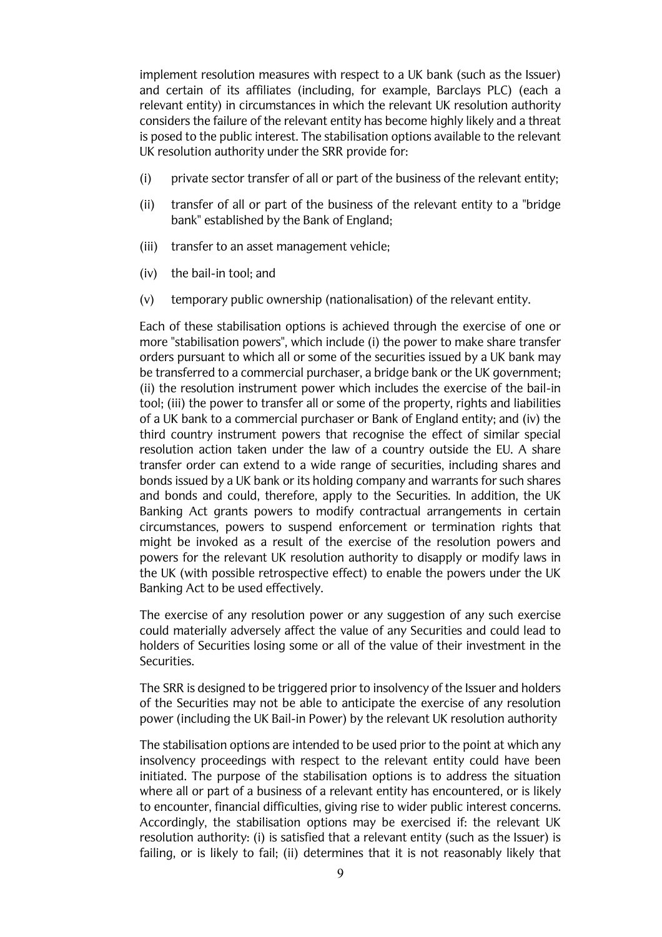implement resolution measures with respect to a UK bank (such as the Issuer) and certain of its affiliates (including, for example, Barclays PLC) (each a relevant entity) in circumstances in which the relevant UK resolution authority considers the failure of the relevant entity has become highly likely and a threat is posed to the public interest. The stabilisation options available to the relevant UK resolution authority under the SRR provide for:

- $(i)$ private sector transfer of all or part of the business of the relevant entity;
- $(ii)$ transfer of all or part of the business of the relevant entity to a "bridge" bank" established by the Bank of England;
- (iii) transfer to an asset management vehicle;
- (iv) the bail-in tool; and
- $(v)$ temporary public ownership (nationalisation) of the relevant entity.

Each of these stabilisation options is achieved through the exercise of one or more "stabilisation powers", which include (i) the power to make share transfer orders pursuant to which all or some of the securities issued by a UK bank may be transferred to a commercial purchaser, a bridge bank or the UK government; (ii) the resolution instrument power which includes the exercise of the bail-in tool; (iii) the power to transfer all or some of the property, rights and liabilities of a UK bank to a commercial purchaser or Bank of England entity; and (iv) the third country instrument powers that recognise the effect of similar special resolution action taken under the law of a country outside the EU. A share transfer order can extend to a wide range of securities, including shares and bonds issued by a UK bank or its holding company and warrants for such shares and bonds and could, therefore, apply to the Securities. In addition, the UK Banking Act grants powers to modify contractual arrangements in certain circumstances, powers to suspend enforcement or termination rights that might be invoked as a result of the exercise of the resolution powers and powers for the relevant UK resolution authority to disapply or modify laws in the UK (with possible retrospective effect) to enable the powers under the UK Banking Act to be used effectively.

The exercise of any resolution power or any suggestion of any such exercise could materially adversely affect the value of any Securities and could lead to holders of Securities losing some or all of the value of their investment in the Securities.

The SRR is designed to be triggered prior to insolvency of the Issuer and holders of the Securities may not be able to anticipate the exercise of any resolution power (including the UK Bail-in Power) by the relevant UK resolution authority

The stabilisation options are intended to be used prior to the point at which any insolvency proceedings with respect to the relevant entity could have been initiated. The purpose of the stabilisation options is to address the situation where all or part of a business of a relevant entity has encountered, or is likely to encounter, financial difficulties, giving rise to wider public interest concerns. Accordingly, the stabilisation options may be exercised if: the relevant UK resolution authority: (i) is satisfied that a relevant entity (such as the Issuer) is failing, or is likely to fail; (ii) determines that it is not reasonably likely that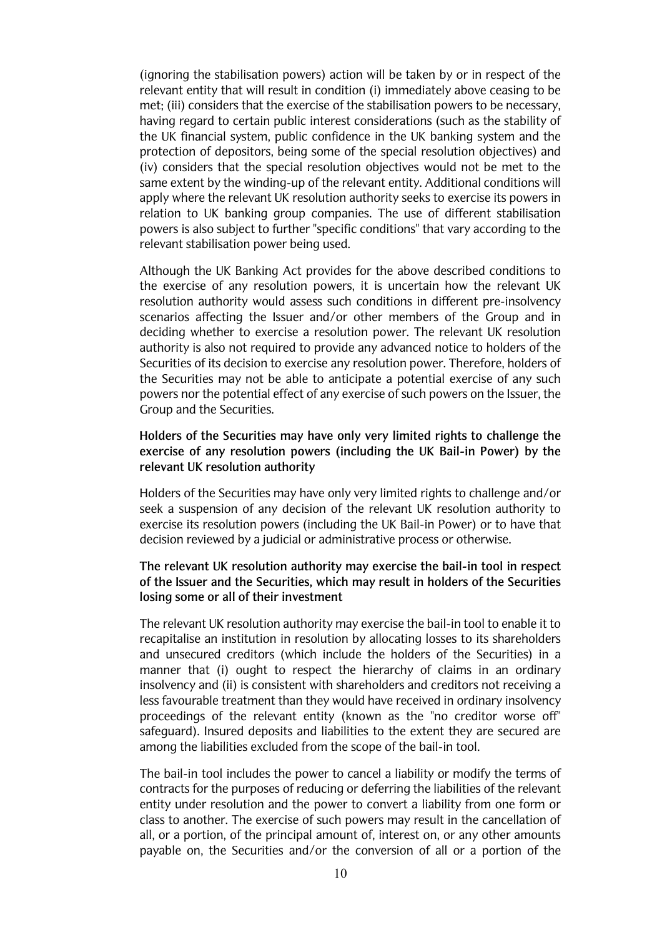(ignoring the stabilisation powers) action will be taken by or in respect of the relevant entity that will result in condition (i) immediately above ceasing to be met; (iii) considers that the exercise of the stabilisation powers to be necessary. having regard to certain public interest considerations (such as the stability of the UK financial system, public confidence in the UK banking system and the protection of depositors, being some of the special resolution objectives) and (iv) considers that the special resolution objectives would not be met to the same extent by the winding-up of the relevant entity. Additional conditions will apply where the relevant UK resolution authority seeks to exercise its powers in relation to UK banking group companies. The use of different stabilisation powers is also subject to further "specific conditions" that vary according to the relevant stabilisation power being used.

Although the UK Banking Act provides for the above described conditions to the exercise of any resolution powers, it is uncertain how the relevant UK resolution authority would assess such conditions in different pre-insolvency scenarios affecting the Issuer and/or other members of the Group and in deciding whether to exercise a resolution power. The relevant UK resolution authority is also not required to provide any advanced notice to holders of the Securities of its decision to exercise any resolution power. Therefore, holders of the Securities may not be able to anticipate a potential exercise of any such powers nor the potential effect of any exercise of such powers on the Issuer, the Group and the Securities.

## Holders of the Securities may have only very limited rights to challenge the exercise of any resolution powers (including the UK Bail-in Power) by the relevant UK resolution authority

Holders of the Securities may have only very limited rights to challenge and/or seek a suspension of any decision of the relevant UK resolution authority to exercise its resolution powers (including the UK Bail-in Power) or to have that decision reviewed by a judicial or administrative process or otherwise.

## The relevant UK resolution authority may exercise the bail-in tool in respect of the Issuer and the Securities, which may result in holders of the Securities losing some or all of their investment

The relevant UK resolution authority may exercise the bail-in tool to enable it to recapitalise an institution in resolution by allocating losses to its shareholders and unsecured creditors (which include the holders of the Securities) in a manner that (i) ought to respect the hierarchy of claims in an ordinary insolvency and (ii) is consistent with shareholders and creditors not receiving a less favourable treatment than they would have received in ordinary insolvency proceedings of the relevant entity (known as the "no creditor worse off" safequard). Insured deposits and liabilities to the extent they are secured are among the liabilities excluded from the scope of the bail-in tool.

The bail-in tool includes the power to cancel a liability or modify the terms of contracts for the purposes of reducing or deferring the liabilities of the relevant entity under resolution and the power to convert a liability from one form or class to another. The exercise of such powers may result in the cancellation of all, or a portion, of the principal amount of, interest on, or any other amounts payable on, the Securities and/or the conversion of all or a portion of the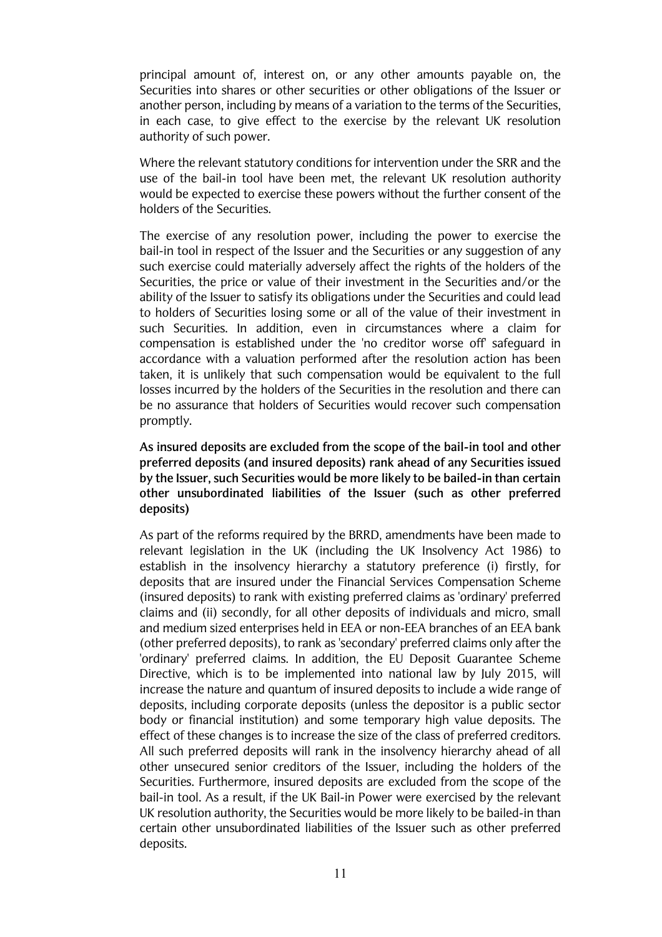principal amount of, interest on, or any other amounts payable on, the Securities into shares or other securities or other obligations of the Issuer or another person, including by means of a variation to the terms of the Securities, in each case, to give effect to the exercise by the relevant UK resolution authority of such power.

Where the relevant statutory conditions for intervention under the SRR and the use of the bail-in tool have been met, the relevant UK resolution authority would be expected to exercise these powers without the further consent of the holders of the Securities.

The exercise of any resolution power, including the power to exercise the bail-in tool in respect of the Issuer and the Securities or any suggestion of any such exercise could materially adversely affect the rights of the holders of the Securities, the price or value of their investment in the Securities and/or the ability of the Issuer to satisfy its obligations under the Securities and could lead to holders of Securities losing some or all of the value of their investment in such Securities. In addition, even in circumstances where a claim for compensation is established under the 'no creditor worse off safequard in accordance with a valuation performed after the resolution action has been taken, it is unlikely that such compensation would be equivalent to the full losses incurred by the holders of the Securities in the resolution and there can be no assurance that holders of Securities would recover such compensation promptly.

As insured deposits are excluded from the scope of the bail-in tool and other preferred deposits (and insured deposits) rank ahead of any Securities issued by the Issuer, such Securities would be more likely to be bailed-in than certain other unsubordinated liabilities of the Issuer (such as other preferred deposits)

As part of the reforms required by the BRRD, amendments have been made to relevant legislation in the UK (including the UK Insolvency Act 1986) to establish in the insolvency hierarchy a statutory preference (i) firstly, for deposits that are insured under the Financial Services Compensation Scheme (insured deposits) to rank with existing preferred claims as 'ordinary' preferred claims and (ii) secondly, for all other deposits of individuals and micro, small and medium sized enterprises held in EEA or non-EEA branches of an EEA bank (other preferred deposits), to rank as 'secondary' preferred claims only after the 'ordinary' preferred claims. In addition, the EU Deposit Guarantee Scheme Directive, which is to be implemented into national law by July 2015, will increase the nature and quantum of insured deposits to include a wide range of deposits, including corporate deposits (unless the depositor is a public sector body or financial institution) and some temporary high value deposits. The effect of these changes is to increase the size of the class of preferred creditors. All such preferred deposits will rank in the insolvency hierarchy ahead of all other unsecured senior creditors of the Issuer, including the holders of the Securities. Furthermore, insured deposits are excluded from the scope of the bail-in tool. As a result, if the UK Bail-in Power were exercised by the relevant UK resolution authority, the Securities would be more likely to be bailed-in than certain other unsubordinated liabilities of the Issuer such as other preferred deposits.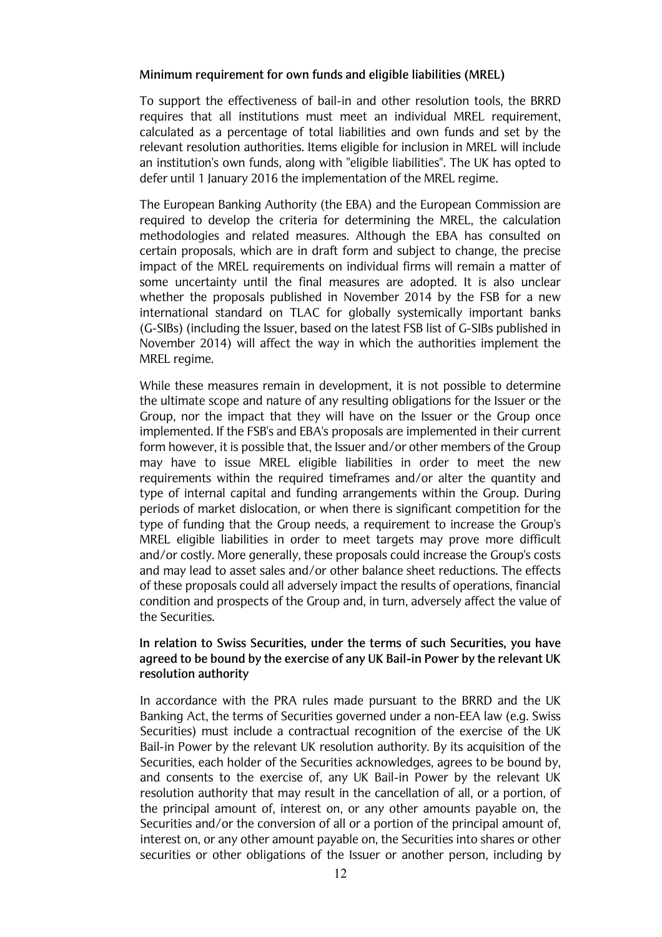### Minimum requirement for own funds and eligible liabilities (MREL)

To support the effectiveness of bail-in and other resolution tools, the BRRD requires that all institutions must meet an individual MREL requirement, calculated as a percentage of total liabilities and own funds and set by the relevant resolution authorities. Items eligible for inclusion in MREL will include an institution's own funds, along with "eligible liabilities". The UK has opted to defer until 1 January 2016 the implementation of the MREL regime.

The European Banking Authority (the EBA) and the European Commission are required to develop the criteria for determining the MREL, the calculation methodologies and related measures. Although the EBA has consulted on certain proposals, which are in draft form and subject to change, the precise impact of the MREL requirements on individual firms will remain a matter of some uncertainty until the final measures are adopted. It is also unclear whether the proposals published in November 2014 by the FSB for a new international standard on TLAC for globally systemically important banks (G-SIBs) (including the Issuer, based on the latest FSB list of G-SIBs published in November 2014) will affect the way in which the authorities implement the MREL regime.

While these measures remain in development, it is not possible to determine the ultimate scope and nature of any resulting obligations for the Issuer or the Group, nor the impact that they will have on the Issuer or the Group once implemented. If the FSB's and EBA's proposals are implemented in their current form however, it is possible that, the Issuer and/or other members of the Group may have to issue MREL eligible liabilities in order to meet the new requirements within the required timeframes and/or alter the quantity and type of internal capital and funding arrangements within the Group. During periods of market dislocation, or when there is significant competition for the type of funding that the Group needs, a requirement to increase the Group's MREL eligible liabilities in order to meet targets may prove more difficult and/or costly. More generally, these proposals could increase the Group's costs and may lead to asset sales and/or other balance sheet reductions. The effects of these proposals could all adversely impact the results of operations, financial condition and prospects of the Group and, in turn, adversely affect the value of the Securities

## In relation to Swiss Securities, under the terms of such Securities, you have agreed to be bound by the exercise of any UK Bail-in Power by the relevant UK resolution authority

In accordance with the PRA rules made pursuant to the BRRD and the UK Banking Act, the terms of Securities governed under a non-EEA law (e.g. Swiss Securities) must include a contractual recognition of the exercise of the UK Bail-in Power by the relevant UK resolution authority. By its acquisition of the Securities, each holder of the Securities acknowledges, agrees to be bound by. and consents to the exercise of, any UK Bail-in Power by the relevant UK resolution authority that may result in the cancellation of all, or a portion, of the principal amount of, interest on, or any other amounts payable on, the Securities and/or the conversion of all or a portion of the principal amount of. interest on, or any other amount payable on, the Securities into shares or other securities or other obligations of the Issuer or another person, including by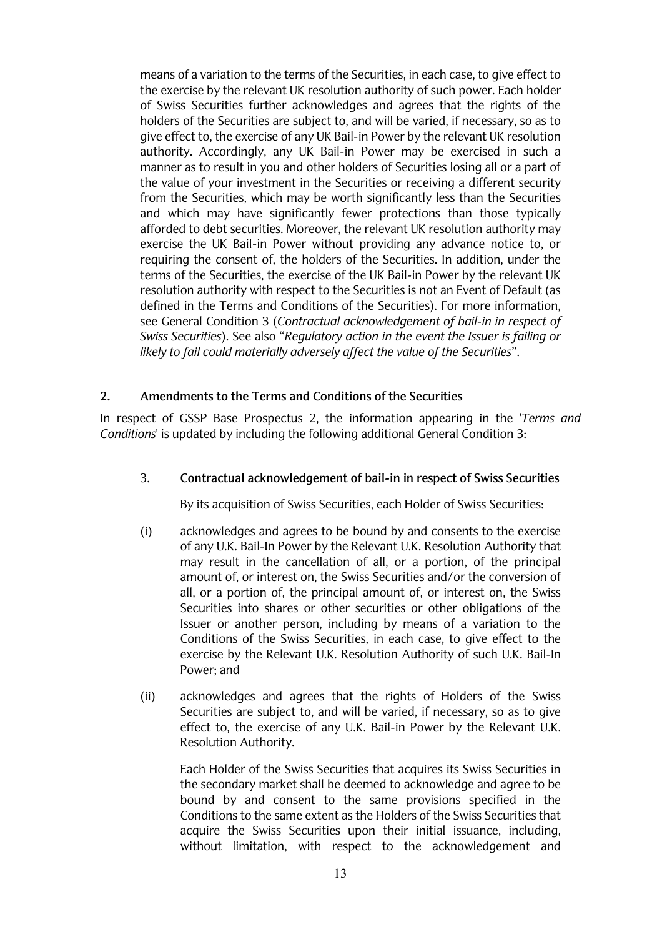means of a variation to the terms of the Securities, in each case, to give effect to the exercise by the relevant UK resolution authority of such power. Each holder of Swiss Securities further acknowledges and agrees that the rights of the holders of the Securities are subject to, and will be varied, if necessary, so as to give effect to, the exercise of any UK Bail-in Power by the relevant UK resolution authority. Accordingly, any UK Bail-in Power may be exercised in such a manner as to result in you and other holders of Securities losing all or a part of the value of your investment in the Securities or receiving a different security from the Securities, which may be worth significantly less than the Securities and which may have significantly fewer protections than those typically afforded to debt securities. Moreover, the relevant UK resolution authority may exercise the UK Bail-in Power without providing any advance notice to, or requiring the consent of, the holders of the Securities. In addition, under the terms of the Securities, the exercise of the UK Bail-in Power by the relevant UK resolution authority with respect to the Securities is not an Event of Default (as defined in the Terms and Conditions of the Securities). For more information. see General Condition 3 (Contractual acknowledgement of bail-in in respect of Swiss Securities). See also "Regulatory action in the event the Issuer is failing or likely to fail could materially adversely affect the value of the Securities".

#### $2.$ Amendments to the Terms and Conditions of the Securities

In respect of GSSP Base Prospectus 2, the information appearing in the 'Terms and Conditions' is updated by including the following additional General Condition 3:

#### $3.$ Contractual acknowledgement of bail-in in respect of Swiss Securities

By its acquisition of Swiss Securities, each Holder of Swiss Securities:

- $(i)$ acknowledges and agrees to be bound by and consents to the exercise of any U.K. Bail-In Power by the Relevant U.K. Resolution Authority that may result in the cancellation of all, or a portion, of the principal amount of, or interest on, the Swiss Securities and/or the conversion of all, or a portion of, the principal amount of, or interest on, the Swiss Securities into shares or other securities or other obligations of the Issuer or another person, including by means of a variation to the Conditions of the Swiss Securities, in each case, to give effect to the exercise by the Relevant U.K. Resolution Authority of such U.K. Bail-In Power; and
- $(ii)$ acknowledges and agrees that the rights of Holders of the Swiss Securities are subject to, and will be varied, if necessary, so as to give effect to, the exercise of any U.K. Bail-in Power by the Relevant U.K. Resolution Authority.

Each Holder of the Swiss Securities that acquires its Swiss Securities in the secondary market shall be deemed to acknowledge and agree to be bound by and consent to the same provisions specified in the Conditions to the same extent as the Holders of the Swiss Securities that acquire the Swiss Securities upon their initial issuance, including, without limitation, with respect to the acknowledgement and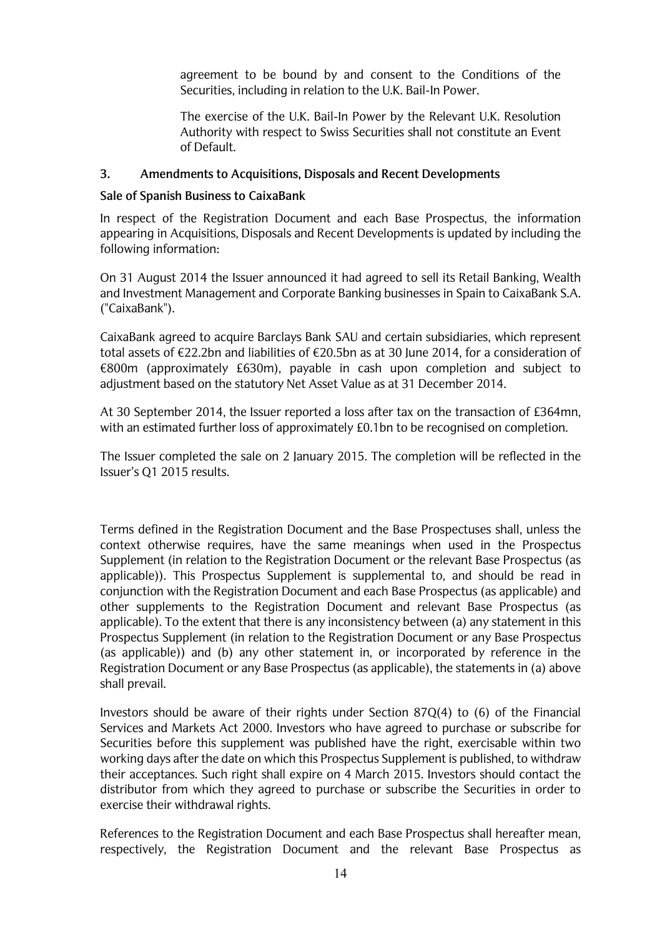agreement to be bound by and consent to the Conditions of the Securities, including in relation to the U.K. Bail-In Power.

The exercise of the U.K. Bail-In Power by the Relevant U.K. Resolution Authority with respect to Swiss Securities shall not constitute an Event of Default.

#### 3. **Amendments to Acquisitions, Disposals and Recent Developments**

### Sale of Spanish Business to CaixaBank

In respect of the Registration Document and each Base Prospectus, the information appearing in Acquisitions, Disposals and Recent Developments is updated by including the following information:

On 31 August 2014 the Issuer announced it had agreed to sell its Retail Banking, Wealth and Investment Management and Corporate Banking businesses in Spain to CaixaBank S.A. ("CaixaBank").

CaixaBank agreed to acquire Barclays Bank SAU and certain subsidiaries, which represent total assets of €22.2bn and liabilities of €20.5bn as at 30 June 2014, for a consideration of  $\epsilon$ 800m (approximately £630m), payable in cash upon completion and subject to adjustment based on the statutory Net Asset Value as at 31 December 2014.

At 30 September 2014, the Issuer reported a loss after tax on the transaction of £364mn. with an estimated further loss of approximately £0.1bn to be recognised on completion.

The Issuer completed the sale on 2 January 2015. The completion will be reflected in the Issuer's O1 2015 results.

Terms defined in the Registration Document and the Base Prospectuses shall, unless the context otherwise requires, have the same meanings when used in the Prospectus Supplement (in relation to the Registration Document or the relevant Base Prospectus (as applicable)). This Prospectus Supplement is supplemental to, and should be read in conjunction with the Registration Document and each Base Prospectus (as applicable) and other supplements to the Registration Document and relevant Base Prospectus (as applicable). To the extent that there is any inconsistency between (a) any statement in this Prospectus Supplement (in relation to the Registration Document or any Base Prospectus (as applicable)) and (b) any other statement in, or incorporated by reference in the Registration Document or any Base Prospectus (as applicable), the statements in (a) above shall prevail.

Investors should be aware of their rights under Section 87 $Q(4)$  to (6) of the Financial Services and Markets Act 2000. Investors who have agreed to purchase or subscribe for Securities before this supplement was published have the right, exercisable within two working days after the date on which this Prospectus Supplement is published, to withdraw their acceptances. Such right shall expire on 4 March 2015. Investors should contact the distributor from which they agreed to purchase or subscribe the Securities in order to exercise their withdrawal rights.

References to the Registration Document and each Base Prospectus shall hereafter mean, respectively, the Registration Document and the relevant Base Prospectus as